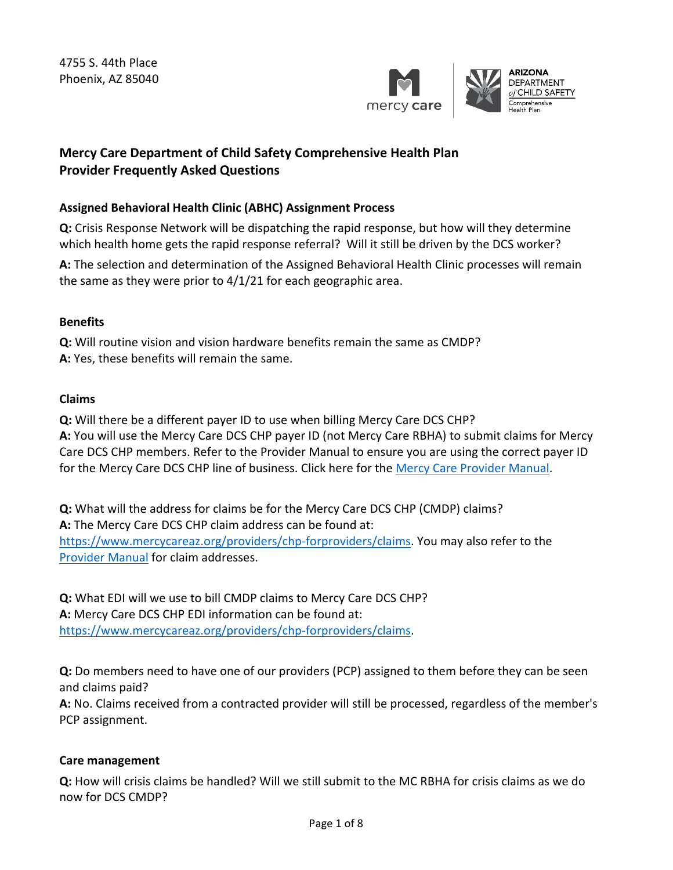

# **Mercy Care Department of Child Safety Comprehensive Health Plan Provider Frequently Asked Questions**

### **Assigned Behavioral Health Clinic (ABHC) Assignment Process**

**Q:** Crisis Response Network will be dispatching the rapid response, but how will they determine which health home gets the rapid response referral? Will it still be driven by the DCS worker?

**A:** The selection and determination of the Assigned Behavioral Health Clinic processes will remain the same as they were prior to 4/1/21 for each geographic area.

### **Benefits**

 **Q:** Will routine vision and vision hardware benefits remain the same as CMDP? **A:** Yes, these benefits will remain the same.

#### **Claims**

 **Q:** Will there be a different payer ID to use when billing Mercy Care DCS CHP? **A:** You will use the Mercy Care DCS CHP payer ID (not Mercy Care RBHA) to submit claims for Mercy Care DCS CHP members. Refer to the Provider Manual to ensure you are using the correct payer ID for the Mercy Care DCS CHP line of business. Click here for the [Mercy Care Provider Manual.](https://www.mercycareaz.org/providers/chp-forproviders/manual)

**Q:** What will the address for claims be for the Mercy Care DCS CHP (CMDP) claims? **A:** The Mercy Care DCS CHP claim address can be found at: [https://www.mercycareaz.org/providers/chp-forproviders/claims.](https://www.mercycareaz.org/providers/chp-forproviders/claims) You may also refer to the [Provider Manual](https://www.mercycareaz.org/providers/chp-forproviders/manual) for claim addresses.

 **Q:** What EDI will we use to bill CMDP claims to Mercy Care DCS CHP? **A:** Mercy Care DCS CHP EDI information can be found at: [https://www.mercycareaz.org/providers/chp-forproviders/claims.](https://www.mercycareaz.org/providers/chp-forproviders/claims)

 **Q:** Do members need to have one of our providers (PCP) assigned to them before they can be seen and claims paid?

**A:** No. Claims received from a contracted provider will still be processed, regardless of the member's PCP assignment.

#### **Care management**

**Q:** How will crisis claims be handled? Will we still submit to the MC RBHA for crisis claims as we do now for DCS CMDP?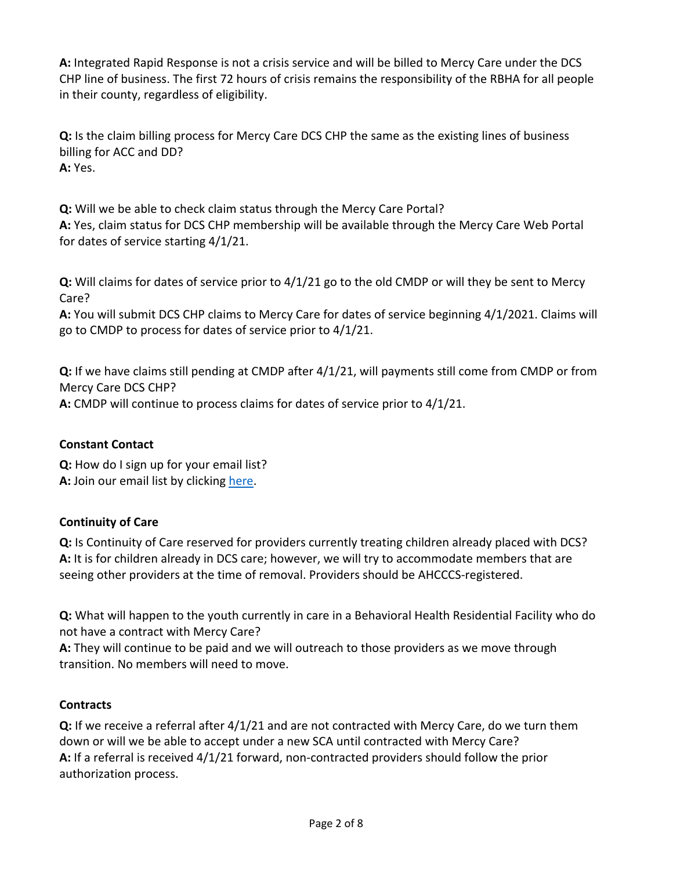in their county, regardless of eligibility. **A:** Integrated Rapid Response is not a crisis service and will be billed to Mercy Care under the DCS CHP line of business. The first 72 hours of crisis remains the responsibility of the RBHA for all people

**Q:** Is the claim billing process for Mercy Care DCS CHP the same as the existing lines of business billing for ACC and DD? **A:** Yes.

 **Q:** Will we be able to check claim status through the Mercy Care Portal? **A:** Yes, claim status for DCS CHP membership will be available through the Mercy Care Web Portal for dates of service starting 4/1/21.

**Q:** Will claims for dates of service prior to 4/1/21 go to the old CMDP or will they be sent to Mercy Care?

 go to CMDP to process for dates of service prior to 4/1/21. **A:** You will submit DCS CHP claims to Mercy Care for dates of service beginning 4/1/2021. Claims will

**Q:** If we have claims still pending at CMDP after 4/1/21, will payments still come from CMDP or from Mercy Care DCS CHP? **A:** CMDP will continue to process claims for dates of service prior to 4/1/21.

### **Constant Contact**

 **Q:** How do I sign up for your email list? A: Join our email list by clicking [here.](https://visitor.r20.constantcontact.com/manage/optin?v=001d7FaMLhABCB32cwdYzNH_XTsyMq_iLBxuwOti96Gz_L2Ra-un5NlU6czZMaVcNt9mEsfVc8m26JnSrL2rVH8pL8u1JJYMFJrsYiYGYQ2o_a2RoTwZT-Zr8xgoi7vHKgeFC9uefiBBV428a8GdUtls8AA63wwQ0yZDk8t6GP_OXtmgyrxbxFTIrF-4gy-HufbIKfeHKaL306LeyE1iMB2eD3SyWXVzvDe8iRPideVcEHxsTWM9OiyYTUxhh9r85kGutIDBO7Yj1zl42Gqn3BKYRumsbE-YePx8llHZa2Zxzb2P3zw09IY8ilEb-29GLSK)

## **Continuity of Care**

**Q:** Is Continuity of Care reserved for providers currently treating children already placed with DCS? **A:** It is for children already in DCS care; however, we will try to accommodate members that are seeing other providers at the time of removal. Providers should be AHCCCS-registered.

 not have a contract with Mercy Care? **Q:** What will happen to the youth currently in care in a Behavioral Health Residential Facility who do

 **A:** They will continue to be paid and we will outreach to those providers as we move through transition. No members will need to move.

### **Contracts**

**Q:** If we receive a referral after 4/1/21 and are not contracted with Mercy Care, do we turn them down or will we be able to accept under a new SCA until contracted with Mercy Care? **A:** If a referral is received 4/1/21 forward, non-contracted providers should follow the prior authorization process.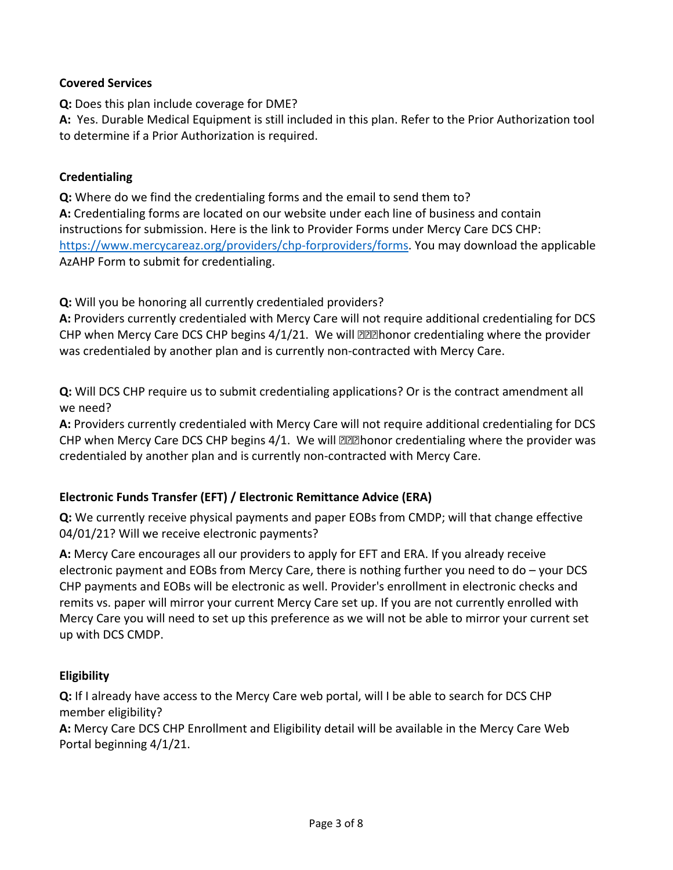### **Covered Services**

**Q:** Does this plan include coverage for DME?

 to determine if a Prior Authorization is required. **A:** Yes. Durable Medical Equipment is still included in this plan. Refer to the Prior Authorization tool

#### **Credentialing**

**Q:** Where do we find the credentialing forms and the email to send them to? **A:** Credentialing forms are located on our website under each line of business and contain instructions for submission. Here is the link to Provider Forms under Mercy Care DCS CHP: [https://www.mercycareaz.org/providers/chp-forproviders/forms.](https://www.mercycareaz.org/providers/chp-forproviders/forms) You may download the applicable AzAHP Form to submit for credentialing.

**Q:** Will you be honoring all currently credentialed providers?

**A:** Providers currently credentialed with Mercy Care will not require additional credentialing for DCS CHP when Mercy Care DCS CHP begins 4/1/21. We will *not* honor credentialing where the provider was credentialed by another plan and is currently non-contracted with Mercy Care.

**Q:** Will DCS CHP require us to submit credentialing applications? Or is the contract amendment all we need?

**A:** Providers currently credentialed with Mercy Care will not require additional credentialing for DCS CHP when Mercy Care DCS CHP begins 4/1. We will *not* honor credentialing where the provider was credentialed by another plan and is currently non-contracted with Mercy Care.

### **Electronic Funds Transfer (EFT) / Electronic Remittance Advice (ERA)**

**Q:** We currently receive physical payments and paper EOBs from CMDP; will that change effective 04/01/21? Will we receive electronic payments?

 electronic payment and EOBs from Mercy Care, there is nothing further you need to do – your DCS **A:** Mercy Care encourages all our providers to apply for EFT and ERA. If you already receive CHP payments and EOBs will be electronic as well. Provider's enrollment in electronic checks and remits vs. paper will mirror your current Mercy Care set up. If you are not currently enrolled with Mercy Care you will need to set up this preference as we will not be able to mirror your current set up with DCS CMDP.

### **Eligibility**

 member eligibility? **Q:** If I already have access to the Mercy Care web portal, will I be able to search for DCS CHP

 Portal beginning 4/1/21. **A:** Mercy Care DCS CHP Enrollment and Eligibility detail will be available in the Mercy Care Web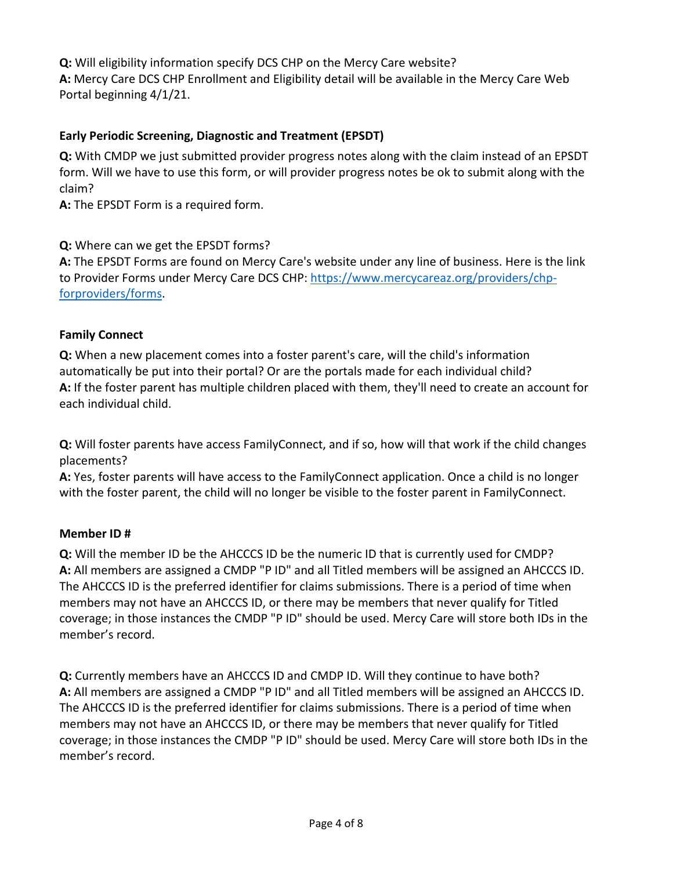Portal beginning 4/1/21. **Q:** Will eligibility information specify DCS CHP on the Mercy Care website? **A:** Mercy Care DCS CHP Enrollment and Eligibility detail will be available in the Mercy Care Web

### **Early Periodic Screening, Diagnostic and Treatment (EPSDT)**

 claim? **Q:** With CMDP we just submitted provider progress notes along with the claim instead of an EPSDT form. Will we have to use this form, or will provider progress notes be ok to submit along with the

**A:** The EPSDT Form is a required form.

### **Q:** Where can we get the EPSDT forms?

**A:** The EPSDT Forms are found on Mercy Care's website under any line of business. Here is the link to Provider Forms under Mercy Care DCS CHP: [https://www.mercycareaz.org/providers/chp](https://www.mercycareaz.org/providers/chp-forproviders/forms)[forproviders/forms.](https://www.mercycareaz.org/providers/chp-forproviders/forms)

### **Family Connect**

**Q:** When a new placement comes into a foster parent's care, will the child's information automatically be put into their portal? Or are the portals made for each individual child? **A:** If the foster parent has multiple children placed with them, they'll need to create an account for each individual child.

**Q:** Will foster parents have access FamilyConnect, and if so, how will that work if the child changes placements?

**A:** Yes, foster parents will have access to the FamilyConnect application. Once a child is no longer with the foster parent, the child will no longer be visible to the foster parent in FamilyConnect.

### **Member ID #**

 **Q:** Will the member ID be the AHCCCS ID be the numeric ID that is currently used for CMDP? A: All members are assigned a CMDP "P ID" and all Titled members will be assigned an AHCCCS ID.  member's record. The AHCCCS ID is the preferred identifier for claims submissions. There is a period of time when members may not have an AHCCCS ID, or there may be members that never qualify for Titled coverage; in those instances the CMDP "P ID" should be used. Mercy Care will store both IDs in the

A: All members are assigned a CMDP "P ID" and all Titled members will be assigned an AHCCCS ID. member's record. **Q:** Currently members have an AHCCCS ID and CMDP ID. Will they continue to have both? The AHCCCS ID is the preferred identifier for claims submissions. There is a period of time when members may not have an AHCCCS ID, or there may be members that never qualify for Titled coverage; in those instances the CMDP "P ID" should be used. Mercy Care will store both IDs in the member's record.<br>Page 4 of 8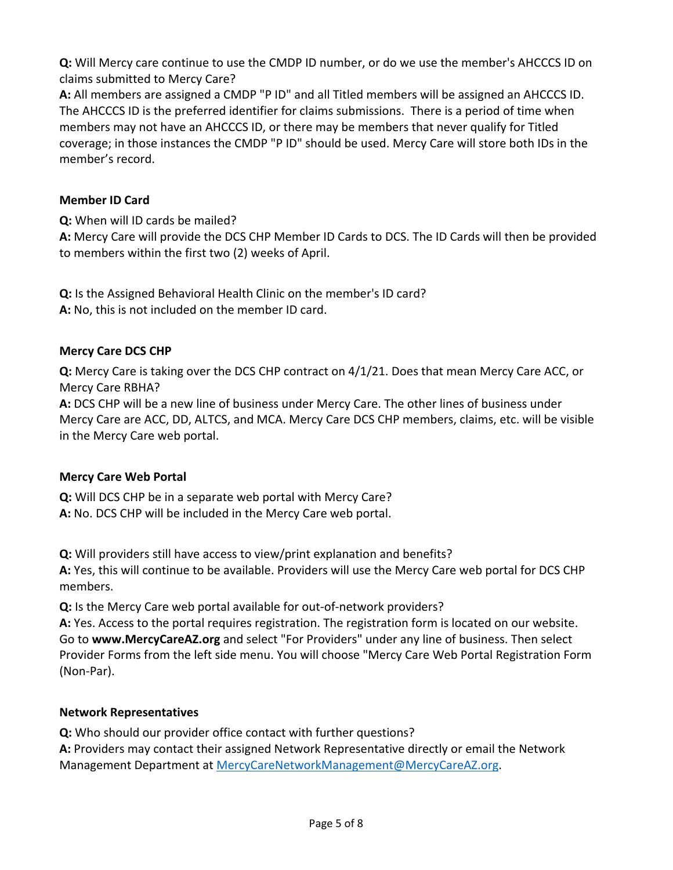**Q:** Will Mercy care continue to use the CMDP ID number, or do we use the member's AHCCCS ID on claims submitted to Mercy Care?

**A:** All members are assigned a CMDP "P ID" and all Titled members will be assigned an AHCCCS ID.<br>The AHCCCS ID is the preferred identifier for claims submissions. There is a period of time when members may not have an AHCCCS ID, or there may be members that never qualify for Titled coverage; in those instances the CMDP "P ID" should be used. Mercy Care will store both IDs in the member's record.

### **Member ID Card**

**Q:** When will ID cards be mailed?

**A:** Mercy Care will provide the DCS CHP Member ID Cards to DCS. The ID Cards will then be provided to members within the first two (2) weeks of April.

**Q:** Is the Assigned Behavioral Health Clinic on the member's ID card? **A:** No, this is not included on the member ID card.

### **Mercy Care DCS CHP**

**Q:** Mercy Care is taking over the DCS CHP contract on 4/1/21. Does that mean Mercy Care ACC, or Mercy Care RBHA?

 **A:** DCS CHP will be a new line of business under Mercy Care. The other lines of business under Mercy Care are ACC, DD, ALTCS, and MCA. Mercy Care DCS CHP members, claims, etc. will be visible in the Mercy Care web portal.

### **Mercy Care Web Portal**

**Q:** Will DCS CHP be in a separate web portal with Mercy Care? **A:** No. DCS CHP will be included in the Mercy Care web portal.

**Q:** Will providers still have access to view/print explanation and benefits?

**A:** Yes, this will continue to be available. Providers will use the Mercy Care web portal for DCS CHP members.

**Q:** Is the Mercy Care web portal available for out-of-network providers?

**A:** Yes. Access to the portal requires registration. The registration form is located on our website. Go to **www.MercyCareAZ.org** and select "For Providers" under any line of business. Then select Provider Forms from the left side menu. You will choose "Mercy Care Web Portal Registration Form (Non-Par).

### **Network Representatives**

**Q:** Who should our provider office contact with further questions? **A:** Providers may contact their assigned Network Representative directly or email the Network Management Department at [MercyCareNetworkManagement@MercyCareAZ.org.](mailto:MercyCareNetworkManagement@MercyCareAZ.org)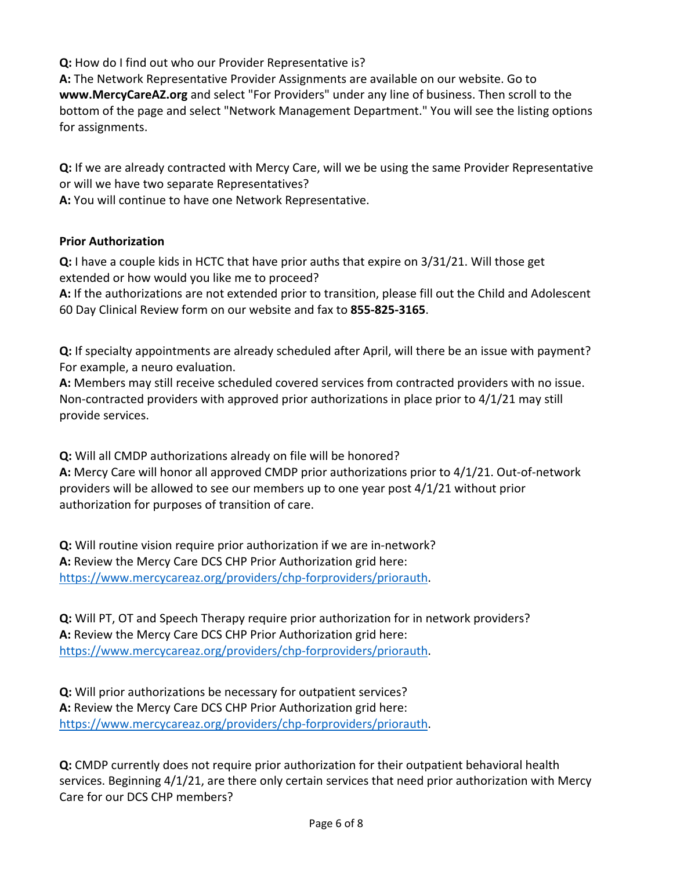**Q:** How do I find out who our Provider Representative is?

**A:** The Network Representative Provider Assignments are available on our website. Go to **www.MercyCareAZ.org** and select "For Providers" under any line of business. Then scroll to the bottom of the page and select "Network Management Department." You will see the listing options for assignments.

 or will we have two separate Representatives? **Q:** If we are already contracted with Mercy Care, will we be using the same Provider Representative

**A:** You will continue to have one Network Representative.

### **Prior Authorization**

 extended or how would you like me to proceed? **Q:** I have a couple kids in HCTC that have prior auths that expire on 3/31/21. Will those get

**A:** If the authorizations are not extended prior to transition, please fill out the Child and Adolescent 60 Day Clinical Review form on our website and fax to **855-825-3165**.

 For example, a neuro evaluation. **Q:** If specialty appointments are already scheduled after April, will there be an issue with payment?

A: Members may still receive scheduled covered services from contracted providers with no issue. **A:** Members may still receive scheduled covered services from contracted providers with no issue.<br>Non-contracted providers with approved prior authorizations in place prior to 4/1/21 may still provide services.

**Q:** Will all CMDP authorizations already on file will be honored?

**A:** Mercy Care will honor all approved CMDP prior authorizations prior to 4/1/21. Out-of-network providers will be allowed to see our members up to one year post 4/1/21 without prior authorization for purposes of transition of care.

**Q:** Will routine vision require prior authorization if we are in-network? **A:** Review the Mercy Care DCS CHP Prior Authorization grid here: [https://www.mercycareaz.org/providers/chp-forproviders/priorauth.](https://www.mercycareaz.org/providers/chp-forproviders/priorauth)

**Q:** Will PT, OT and Speech Therapy require prior authorization for in network providers? **A:** Review the Mercy Care DCS CHP Prior Authorization grid here: [https://www.mercycareaz.org/providers/chp-forproviders/priorauth.](https://www.mercycareaz.org/providers/chp-forproviders/priorauth)

 **Q:** Will prior authorizations be necessary for outpatient services? **A:** Review the Mercy Care DCS CHP Prior Authorization grid here: [https://www.mercycareaz.org/providers/chp-forproviders/priorauth.](https://www.mercycareaz.org/providers/chp-forproviders/priorauth)

**Q:** CMDP currently does not require prior authorization for their outpatient behavioral health services. Beginning 4/1/21, are there only certain services that need prior authorization with Mercy Care for our DCS CHP members?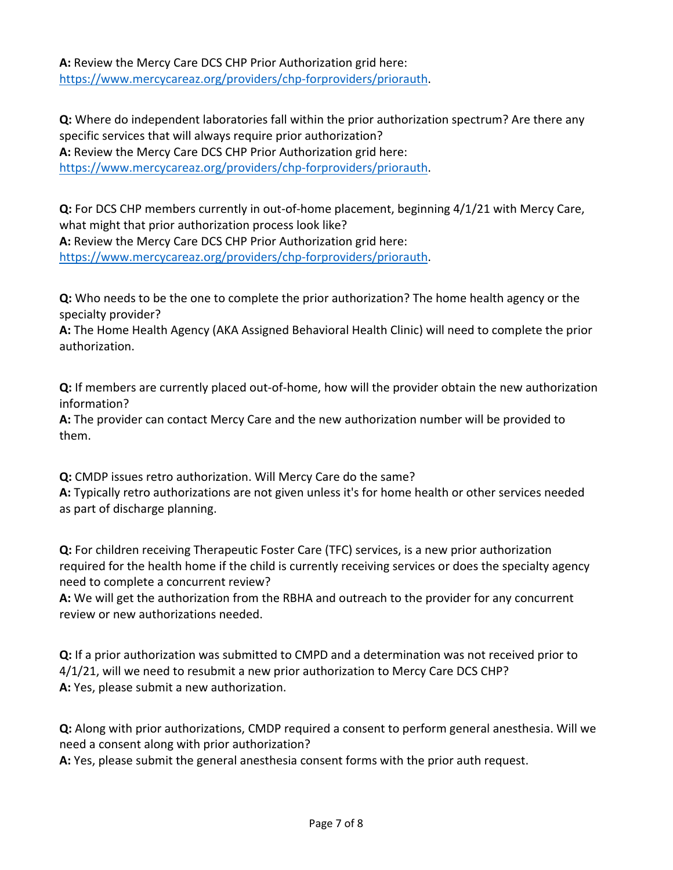**A:** Review the Mercy Care DCS CHP Prior Authorization grid here: [https://www.mercycareaz.org/providers/chp-forproviders/priorauth.](https://www.mercycareaz.org/providers/chp-forproviders/priorauth)

 specific services that will always require prior authorization? **Q:** Where do independent laboratories fall within the prior authorization spectrum? Are there any **A:** Review the Mercy Care DCS CHP Prior Authorization grid here: [https://www.mercycareaz.org/providers/chp-forproviders/priorauth.](https://www.mercycareaz.org/providers/chp-forproviders/priorauth)

**Q:** For DCS CHP members currently in out-of-home placement, beginning 4/1/21 with Mercy Care, what might that prior authorization process look like?

**A:** Review the Mercy Care DCS CHP Prior Authorization grid here: [https://www.mercycareaz.org/providers/chp-forproviders/priorauth.](https://www.mercycareaz.org/providers/chp-forproviders/priorauth)

 **Q:** Who needs to be the one to complete the prior authorization? The home health agency or the specialty provider?

**A:** The Home Health Agency (AKA Assigned Behavioral Health Clinic) will need to complete the prior authorization.

**Q:** If members are currently placed out-of-home, how will the provider obtain the new authorization information?

**A:** The provider can contact Mercy Care and the new authorization number will be provided to them.

 **Q:** CMDP issues retro authorization. Will Mercy Care do the same? **A:** Typically retro authorizations are not given unless it's for home health or other services needed as part of discharge planning.

**Q:** For children receiving Therapeutic Foster Care (TFC) services, is a new prior authorization required for the health home if the child is currently receiving services or does the specialty agency need to complete a concurrent review?

**A:** We will get the authorization from the RBHA and outreach to the provider for any concurrent review or new authorizations needed.

 4/1/21, will we need to resubmit a new prior authorization to Mercy Care DCS CHP? **Q:** If a prior authorization was submitted to CMPD and a determination was not received prior to **A:** Yes, please submit a new authorization.

**Q:** Along with prior authorizations, CMDP required a consent to perform general anesthesia. Will we need a consent along with prior authorization?

**A:** Yes, please submit the general anesthesia consent forms with the prior auth request.<br>Page 7 of 8